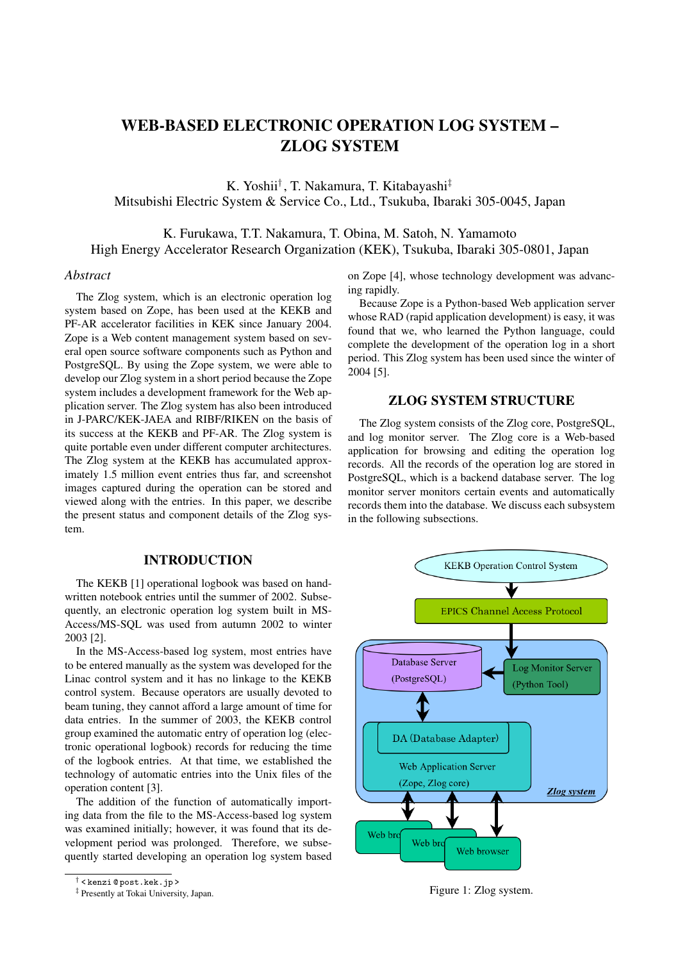# WEB-BASED ELECTRONIC OPERATION LOG SYSTEM – ZLOG SYSTEM

K. Yoshii† , T. Nakamura, T. Kitabayashi‡ Mitsubishi Electric System & Service Co., Ltd., Tsukuba, Ibaraki 305-0045, Japan

K. Furukawa, T.T. Nakamura, T. Obina, M. Satoh, N. Yamamoto High Energy Accelerator Research Organization (KEK), Tsukuba, Ibaraki 305-0801, Japan

#### *Abstract*

The Zlog system, which is an electronic operation log system based on Zope, has been used at the KEKB and PF-AR accelerator facilities in KEK since January 2004. Zope is a Web content management system based on several open source software components such as Python and PostgreSQL. By using the Zope system, we were able to develop our Zlog system in a short period because the Zope system includes a development framework for the Web application server. The Zlog system has also been introduced in J-PARC/KEK-JAEA and RIBF/RIKEN on the basis of its success at the KEKB and PF-AR. The Zlog system is quite portable even under different computer architectures. The Zlog system at the KEKB has accumulated approximately 1.5 million event entries thus far, and screenshot images captured during the operation can be stored and viewed along with the entries. In this paper, we describe the present status and component details of the Zlog system.

#### INTRODUCTION

The KEKB [1] operational logbook was based on handwritten notebook entries until the summer of 2002. Subsequently, an electronic operation log system built in MS-Access/MS-SQL was used from autumn 2002 to winter 2003 [2].

In the MS-Access-based log system, most entries have to be entered manually as the system was developed for the Linac control system and it has no linkage to the KEKB control system. Because operators are usually devoted to beam tuning, they cannot afford a large amount of time for data entries. In the summer of 2003, the KEKB control group examined the automatic entry of operation log (electronic operational logbook) records for reducing the time of the logbook entries. At that time, we established the technology of automatic entries into the Unix files of the operation content [3].

The addition of the function of automatically importing data from the file to the MS-Access-based log system was examined initially; however, it was found that its development period was prolonged. Therefore, we subsequently started developing an operation log system based on Zope [4], whose technology development was advancing rapidly.

Because Zope is a Python-based Web application server whose RAD (rapid application development) is easy, it was found that we, who learned the Python language, could complete the development of the operation log in a short period. This Zlog system has been used since the winter of 2004 [5].

# ZLOG SYSTEM STRUCTURE

The Zlog system consists of the Zlog core, PostgreSQL, and log monitor server. The Zlog core is a Web-based application for browsing and editing the operation log records. All the records of the operation log are stored in PostgreSQL, which is a backend database server. The log monitor server monitors certain events and automatically records them into the database. We discuss each subsystem in the following subsections.



Figure 1: Zlog system.

<sup>†</sup> < kenzi @ post.kek.jp >

<sup>‡</sup> Presently at Tokai University, Japan.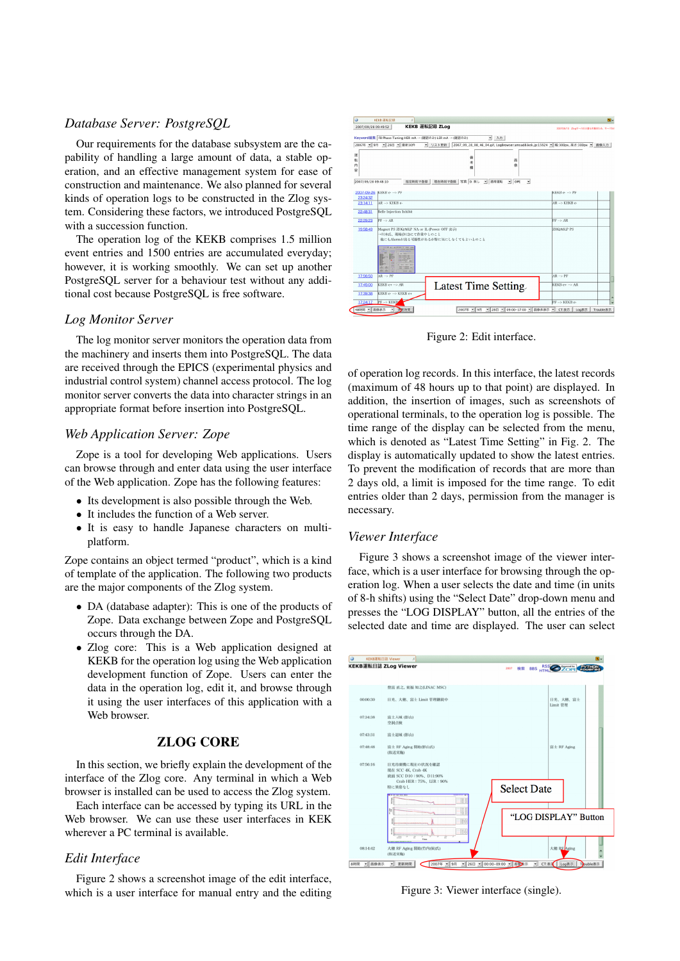## *Database Server: PostgreSQL*

Our requirements for the database subsystem are the capability of handling a large amount of data, a stable operation, and an effective management system for ease of construction and maintenance. We also planned for several kinds of operation logs to be constructed in the Zlog system. Considering these factors, we introduced PostgreSQL with a succession function.

The operation log of the KEKB comprises 1.5 million event entries and 1500 entries are accumulated everyday; however, it is working smoothly. We can set up another PostgreSQL server for a behaviour test without any additional cost because PostgreSQL is free software.

#### *Log Monitor Server*

The log monitor server monitors the operation data from the machinery and inserts them into PostgreSQL. The data are received through the EPICS (experimental physics and industrial control system) channel access protocol. The log monitor server converts the data into character strings in an appropriate format before insertion into PostgreSQL.

#### *Web Application Server: Zope*

Zope is a tool for developing Web applications. Users can browse through and enter data using the user interface of the Web application. Zope has the following features:

- Its development is also possible through the Web.
- It includes the function of a Web server.
- It is easy to handle Japanese characters on multiplatform.

Zope contains an object termed "product", which is a kind of template of the application. The following two products are the major components of the Zlog system.

- DA (database adapter): This is one of the products of Zope. Data exchange between Zope and PostgreSQL occurs through the DA.
- Zlog core: This is a Web application designed at KEKB for the operation log using the Web application development function of Zope. Users can enter the data in the operation log, edit it, and browse through it using the user interfaces of this application with a Web browser.

#### ZLOG CORE

In this section, we briefly explain the development of the interface of the Zlog core. Any terminal in which a Web browser is installed can be used to access the Zlog system.

Each interface can be accessed by typing its URL in the Web browser. We can use these user interfaces in KEK wherever a PC terminal is available.

#### *Edit Interface*

Figure 2 shows a screenshot image of the edit interface, which is a user interface for manual entry and the editing



Figure 2: Edit interface.

of operation log records. In this interface, the latest records (maximum of 48 hours up to that point) are displayed. In addition, the insertion of images, such as screenshots of operational terminals, to the operation log is possible. The time range of the display can be selected from the menu, which is denoted as "Latest Time Setting" in Fig. 2. The display is automatically updated to show the latest entries. To prevent the modification of records that are more than 2 days old, a limit is imposed for the time range. To edit entries older than 2 days, permission from the manager is necessary.

#### *Viewer Interface*

Figure 3 shows a screenshot image of the viewer interface, which is a user interface for browsing through the operation log. When a user selects the date and time (in units of 8-h shifts) using the "Select Date" drop-down menu and presses the "LOG DISPLAY" button, all the entries of the selected date and time are displayed. The user can select



Figure 3: Viewer interface (single).